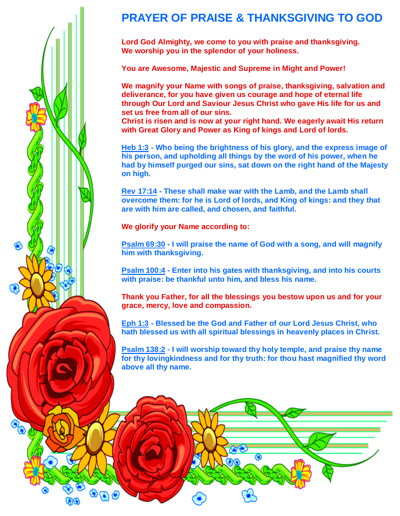

 $\bullet$ 

## **PRAYER OF PRAISE & THANKSGIVING TO GOD**

**Lord God Almighty, we come to you with praise and thanksgiving. We worship you in the splendor of your holiness.**

**You are Awesome, Majestic and Supreme in Might and Power!**

**We magnify your Name with songs of praise, thanksgiving, salvation and deliverance, for you have given us courage and hope of eternal life through Our Lord and Saviour Jesus Christ who gave His life for us and set us free from all of our sins.**

**Christ is risen and is now at your right hand. We eagerly await His return with Great Glory and Power as King of kings and Lord of lords.**

**Heb 1:3 - Who being the brightness of his glory, and the express image of his person, and upholding all things by the word of his power, when he had by himself purged our sins, sat down on the right hand of the Majesty on high.**

**Rev 17:14 - These shall make war with the Lamb, and the Lamb shall overcome them: for he is Lord of lords, and King of kings: and they that are with him are called, and chosen, and faithful.**

**We glorify your Name according to:**

**Psalm 69:30 - I will praise the name of God with a song, and will magnify him with thanksgiving.**

**Psalm 100:4 - Enter into his gates with thanksgiving, and into his courts with praise: be thankful unto him, and bless his name.**

**Thank you Father, for all the blessings you bestow upon us and for your grace, mercy, love and compassion.**

**Eph 1:3 - Blessed be the God and Father of our Lord Jesus Christ, who hath blessed us with all spiritual blessings in heavenly places in Christ.**

**Psalm 138:2 - I will worship toward thy holy temple, and praise thy name for thy lovingkindness and for thy truth: for thou hast magnified thy word above all thy name.**

⋒